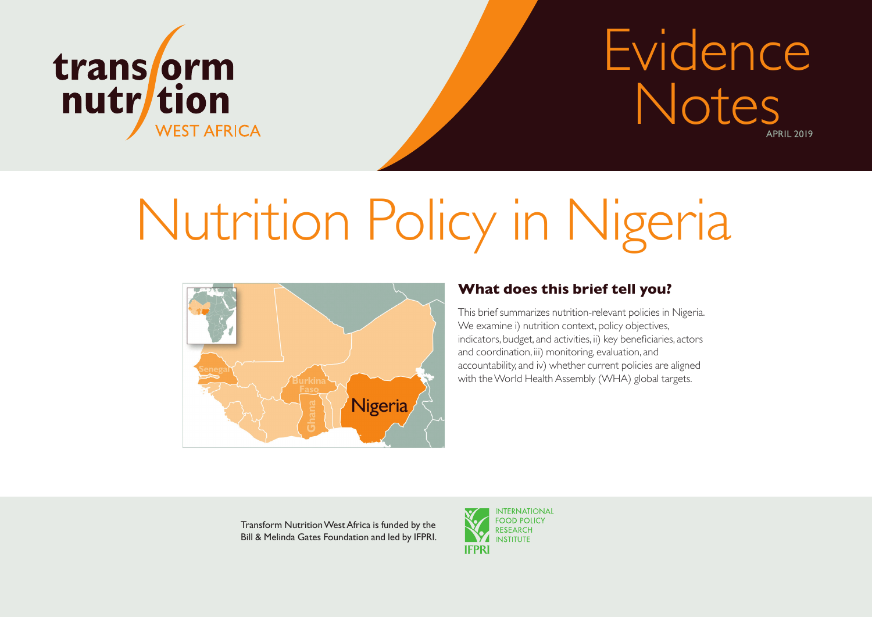

## APRIL 2019 Evidence Notes

# Nutrition Policy in Nigeria



## **What does this brief tell you?**

This brief summarizes nutrition-relevant policies in Nigeria. We examine i) nutrition context, policy objectives, indicators, budget, and activities, ii) key beneficiaries, actors and coordination, iii) monitoring, evaluation, and accountability, and iv) whether current policies are aligned with the World Health Assembly (WHA) global targets.

Transform Nutrition West Africa is funded by the Bill & Melinda Gates Foundation and led by IFPRI.

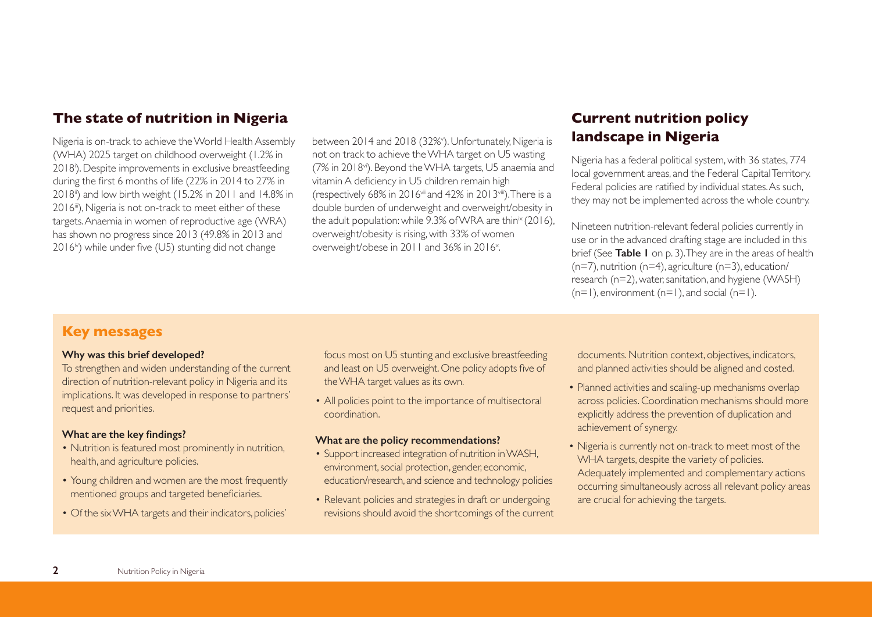## **The state of nutrition in Nigeria**

Nigeria is on-track to achieve the World Health Assembly (WHA) 2025 target on childhood overweight (1.2% in 2018i ). Despite improvements in exclusive breastfeeding during the first 6 months of life (22% in 2014 to 27% in 2018ii) and low birth weight (15.2% in 2011 and 14.8% in 2016<sup>iii</sup>), Nigeria is not on-track to meet either of these targets. Anaemia in women of reproductive age (WRA) has shown no progress since 2013 (49.8% in 2013 and 2016<sup>iv</sup>) while under five (U5) stunting did not change

between 2014 and 2018 (32%'). Unfortunately, Nigeria is not on track to achieve the WHA target on U5 wasting (7% in 2018vi). Beyond the WHA targets, U5 anaemia and vitamin A deficiency in U5 children remain high (respectively 68% in 2016vii and 42% in 2013viii). There is a double burden of underweight and overweight/obesity in the adult population: while  $9.3\%$  of WRA are thin<sup>ix</sup> (2016), overweight/obesity is rising, with 33% of women overweight/obese in 2011 and 36% in 2016<sup>x</sup>. .

## **Current nutrition policy landscape in Nigeria**

Nigeria has a federal political system, with 36 states, 774 local government areas, and the Federal Capital Territory. Federal policies are ratified by individual states. As such, they may not be implemented across the whole country.

Nineteen nutrition-relevant federal policies currently in use or in the advanced drafting stage are included in this brief (See **Table 1** on p. 3). They are in the areas of health  $(n=7)$ , nutrition  $(n=4)$ , agriculture  $(n=3)$ , education/ research (n=2), water, sanitation, and hygiene (WASH)  $(n=1)$ , environment  $(n=1)$ , and social  $(n=1)$ .

## **Key messages**

#### **Why was this brief developed?**

To strengthen and widen understanding of the current direction of nutrition-relevant policy in Nigeria and its implications. It was developed in response to partners' request and priorities.

#### **What are the key findings?**

- Nutrition is featured most prominently in nutrition. health, and agriculture policies.
- Young children and women are the most frequently mentioned groups and targeted beneficiaries.
- Of the six WHA targets and their indicators, policies'

focus most on U5 stunting and exclusive breastfeeding and least on U5 overweight. One policy adopts five of the WHA target values as its own.

• All policies point to the importance of multisectoral coordination.

#### **What are the policy recommendations?**

- Support increased integration of nutrition in WASH, environment, social protection, gender, economic, education/research, and science and technology policies
- Relevant policies and strategies in draft or undergoing revisions should avoid the shortcomings of the current

documents. Nutrition context, objectives, indicators, and planned activities should be aligned and costed.

- Planned activities and scaling-up mechanisms overlap across policies. Coordination mechanisms should more explicitly address the prevention of duplication and achievement of synergy.
- Nigeria is currently not on-track to meet most of the WHA targets, despite the variety of policies. Adequately implemented and complementary actions occurring simultaneously across all relevant policy areas are crucial for achieving the targets.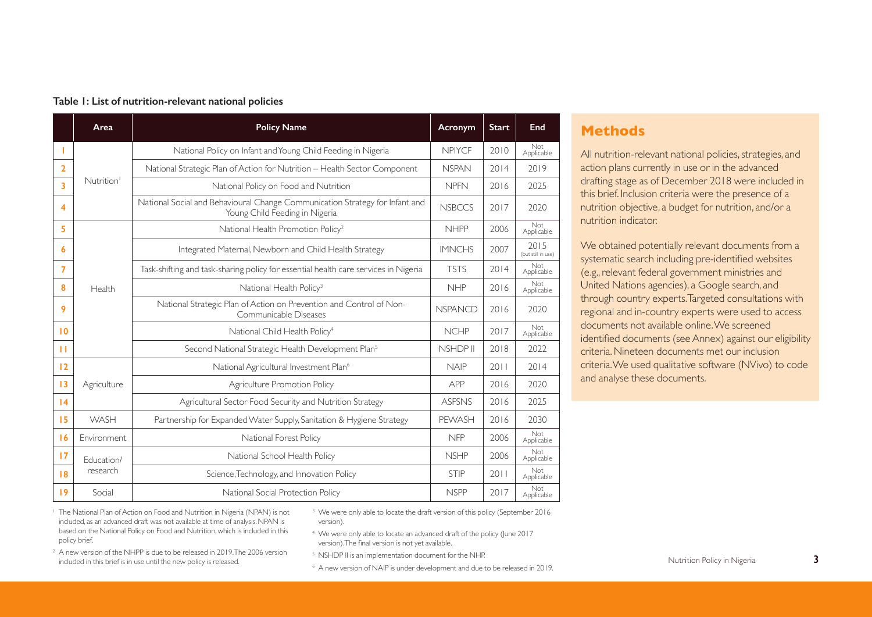|                    | Area                   | <b>Policy Name</b>                                                                                             | Acronym        | <b>Start</b> | End                        |
|--------------------|------------------------|----------------------------------------------------------------------------------------------------------------|----------------|--------------|----------------------------|
| т                  |                        | National Policy on Infant and Young Child Feeding in Nigeria                                                   | <b>NPIYCF</b>  | 2010         | Not<br>Applicable          |
| $\overline{2}$     |                        | National Strategic Plan of Action for Nutrition - Health Sector Component                                      | <b>NSPAN</b>   | 2014         | 2019                       |
| $\overline{3}$     | Nutrition <sup>1</sup> | National Policy on Food and Nutrition                                                                          | <b>NPFN</b>    | 2016         | 2025                       |
| $\overline{\bf 4}$ |                        | National Social and Behavioural Change Communication Strategy for Infant and<br>Young Child Feeding in Nigeria | <b>NSBCCS</b>  | 2017         | 2020                       |
| 5                  |                        | National Health Promotion Policy <sup>2</sup>                                                                  | <b>NHPP</b>    | 2006         | <b>Not</b><br>Applicable   |
| 6                  |                        | Integrated Maternal, Newborn and Child Health Strategy                                                         | <b>IMNCHS</b>  | 2007         | 2015<br>(but still in use) |
| $\overline{7}$     |                        | Task-shifting and task-sharing policy for essential health care services in Nigeria                            | <b>TSTS</b>    | 2014         | Not<br>Applicable          |
| 8                  | Health                 | National Health Policy <sup>3</sup>                                                                            | <b>NHP</b>     | 2016         | Not<br>Applicable          |
| 9                  |                        | National Strategic Plan of Action on Prevention and Control of Non-<br>Communicable Diseases                   | <b>NSPANCD</b> | 2016         | 2020                       |
| 10                 |                        | National Child Health Policy <sup>4</sup>                                                                      | <b>NCHP</b>    | 2017         | Not<br>Applicable          |
| п                  |                        | Second National Strategic Health Development Plan <sup>5</sup>                                                 | NSHDP II       | 2018         | 2022                       |
| 12                 |                        | National Agricultural Investment Plan <sup>6</sup>                                                             | <b>NAIP</b>    | 2011         | 2014                       |
| 13                 | Agriculture            | Agriculture Promotion Policy                                                                                   | APP            | 2016         | 2020                       |
| 4                  |                        | Agricultural Sector Food Security and Nutrition Strategy                                                       | <b>ASFSNS</b>  | 2016         | 2025                       |
| 15                 | WASH                   | Partnership for Expanded Water Supply, Sanitation & Hygiene Strategy                                           | PEWASH         | 2016         | 2030                       |
| 16                 | Environment            | National Forest Policy                                                                                         | <b>NFP</b>     | 2006         | Not<br>Applicable          |
| 17                 | Education/             | National School Health Policy                                                                                  | <b>NSHP</b>    | 2006         | <b>Not</b><br>Applicable   |
| 18                 | research               | Science, Technology, and Innovation Policy                                                                     | <b>STIP</b>    | 2011         | Not<br>Applicable          |
| 19                 | Social                 | National Social Protection Policy                                                                              | <b>NSPP</b>    | 2017         | <b>Not</b><br>Applicable   |

#### **Table 1: List of nutrition-relevant national policies**

## **Methods**

All nutrition-relevant national policies, strategies, and action plans currently in use or in the advanced drafting stage as of December 2018 were included in this brief. Inclusion criteria were the presence of a nutrition objective, a budget for nutrition, and/or a nutrition indicator.

We obtained potentially relevant documents from a systematic search including pre-identified websites (e.g., relevant federal government ministries and United Nations agencies), a Google search, and through country experts. Targeted consultations with regional and in-country experts were used to access documents not available online. We screened identified documents (see Annex) against our eligibility criteria. Nineteen documents met our inclusion criteria. We used qualitative software (NVivo) to code and analyse these documents.

<sup>1</sup> The National Plan of Action on Food and Nutrition in Nigeria (NPAN) is not included, as an advanced draft was not available at time of analysis. NPAN is based on the National Policy on Food and Nutrition, which is included in this policy brief.

- <sup>3</sup> We were only able to locate the draft version of this policy (September 2016) version).
- <sup>4</sup> We were only able to locate an advanced draft of the policy (June 2017 version). The final version is not yet available.
- <sup>2</sup> A new version of the NHPP is due to be released in 2019. The 2006 version included in this brief is in use until the new policy is released.
- <sup>5</sup> NSHDP II is an implementation document for the NHP.
- <sup>6</sup> A new version of NAIP is under development and due to be released in 2019.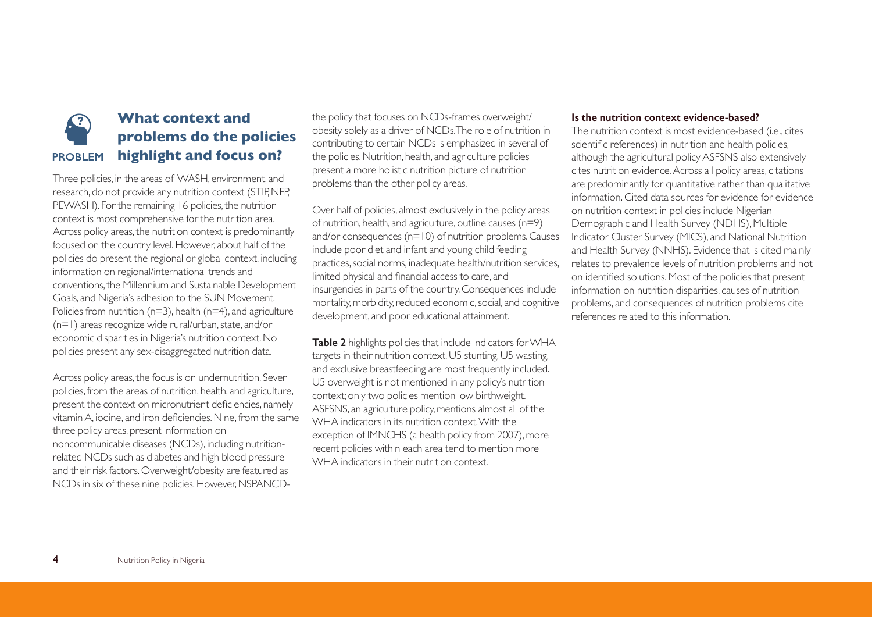## **What context and problems do the policies highlight and focus on? PROBLEM**

Three policies, in the areas of WASH, environment, and research, do not provide any nutrition context (STIP, NFP, PEWASH). For the remaining 16 policies, the nutrition context is most comprehensive for the nutrition area. Across policy areas, the nutrition context is predominantly focused on the country level. However, about half of the policies do present the regional or global context, including information on regional/international trends and conventions, the Millennium and Sustainable Development Goals, and Nigeria's adhesion to the SUN Movement. Policies from nutrition ( $n=3$ ), health ( $n=4$ ), and agriculture (n=1) areas recognize wide rural/urban, state, and/or economic disparities in Nigeria's nutrition context. No policies present any sex-disaggregated nutrition data.

Across policy areas, the focus is on undernutrition. Seven policies, from the areas of nutrition, health, and agriculture, present the context on micronutrient deficiencies, namely vitamin A, iodine, and iron deficiencies. Nine, from the same three policy areas, present information on noncommunicable diseases (NCDs), including nutritionrelated NCDs such as diabetes and high blood pressure and their risk factors. Overweight/obesity are featured as NCDs in six of these nine policies. However, NSPANCD-

the policy that focuses on NCDs-frames overweight/ obesity solely as a driver of NCDs. The role of nutrition in contributing to certain NCDs is emphasized in several of the policies. Nutrition, health, and agriculture policies present a more holistic nutrition picture of nutrition problems than the other policy areas.

Over half of policies, almost exclusively in the policy areas of nutrition, health, and agriculture, outline causes (n=9) and/or consequences (n=10) of nutrition problems. Causes include poor diet and infant and young child feeding practices, social norms, inadequate health/nutrition services, limited physical and financial access to care, and insurgencies in parts of the country. Consequences include mortality, morbidity, reduced economic, social, and cognitive development, and poor educational attainment.

**Table 2** highlights policies that include indicators for WHA targets in their nutrition context. U5 stunting, U5 wasting, and exclusive breastfeeding are most frequently included. U5 overweight is not mentioned in any policy's nutrition context; only two policies mention low birthweight. ASFSNS, an agriculture policy, mentions almost all of the WHA indicators in its nutrition context. With the exception of IMNCHS (a health policy from 2007), more recent policies within each area tend to mention more WHA indicators in their nutrition context.

#### **Is the nutrition context evidence-based?**

The nutrition context is most evidence-based (i.e., cites scientific references) in nutrition and health policies, although the agricultural policy ASFSNS also extensively cites nutrition evidence. Across all policy areas, citations are predominantly for quantitative rather than qualitative information. Cited data sources for evidence for evidence on nutrition context in policies include Nigerian Demographic and Health Survey (NDHS), Multiple Indicator Cluster Survey (MICS), and National Nutrition and Health Survey (NNHS). Evidence that is cited mainly relates to prevalence levels of nutrition problems and not on identified solutions. Most of the policies that present information on nutrition disparities, causes of nutrition problems, and consequences of nutrition problems cite references related to this information.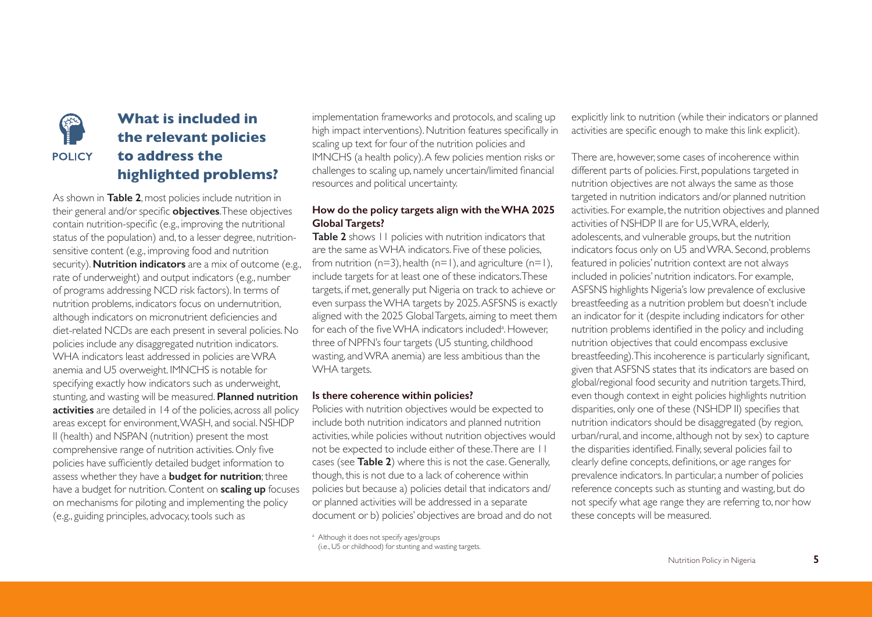

## **What is included in the relevant policies to address the highlighted problems?**

As shown in **Table 2**, most policies include nutrition in their general and/or specific **objectives**. These objectives contain nutrition-specific (e.g., improving the nutritional status of the population) and, to a lesser degree, nutritionsensitive content (e.g., improving food and nutrition security). **Nutrition indicators** are a mix of outcome (e.g., rate of underweight) and output indicators (e.g., number of programs addressing NCD risk factors). In terms of nutrition problems, indicators focus on undernutrition, although indicators on micronutrient deficiencies and diet-related NCDs are each present in several policies. No policies include any disaggregated nutrition indicators. WHA indicators least addressed in policies are WRA anemia and U5 overweight. IMNCHS is notable for specifying exactly how indicators such as underweight, stunting, and wasting will be measured. **Planned nutrition activities** are detailed in 14 of the policies, across all policy areas except for environment, WASH, and social. NSHDP II (health) and NSPAN (nutrition) present the most comprehensive range of nutrition activities. Only five policies have sufficiently detailed budget information to assess whether they have a **budget for nutrition**; three have a budget for nutrition. Content on **scaling up** focuses on mechanisms for piloting and implementing the policy (e.g., guiding principles, advocacy, tools such as

implementation frameworks and protocols, and scaling up high impact interventions). Nutrition features specifically in scaling up text for four of the nutrition policies and IMNCHS (a health policy). A few policies mention risks or challenges to scaling up, namely uncertain/limited financial resources and political uncertainty.

## **How do the policy targets align with the WHA 2025 Global Targets?**

**Table 2** shows 11 policies with nutrition indicators that are the same as WHA indicators. Five of these policies, from nutrition ( $n=3$ ), health ( $n=1$ ), and agriculture ( $n=1$ ), include targets for at least one of these indicators. These targets, if met, generally put Nigeria on track to achieve or even surpass the WHA targets by 2025. ASFSNS is exactly aligned with the 2025 Global Targets, aiming to meet them for each of the five WHA indicators included<sup>a</sup>. However, three of NPFN's four targets (U5 stunting, childhood wasting, and WRA anemia) are less ambitious than the WHA targets.

#### **Is there coherence within policies?**

Policies with nutrition objectives would be expected to include both nutrition indicators and planned nutrition activities, while policies without nutrition objectives would not be expected to include either of these. There are 11 cases (see **Table 2**) where this is not the case. Generally, though, this is not due to a lack of coherence within policies but because a) policies detail that indicators and/ or planned activities will be addressed in a separate document or b) policies' objectives are broad and do not

<sup>a</sup> Although it does not specify ages/groups

explicitly link to nutrition (while their indicators or planned activities are specific enough to make this link explicit).

There are, however, some cases of incoherence within different parts of policies. First, populations targeted in nutrition objectives are not always the same as those targeted in nutrition indicators and/or planned nutrition activities. For example, the nutrition objectives and planned activities of NSHDP II are for U5, WRA, elderly, adolescents, and vulnerable groups, but the nutrition indicators focus only on U5 and WRA. Second, problems featured in policies' nutrition context are not always included in policies' nutrition indicators. For example, ASFSNS highlights Nigeria's low prevalence of exclusive breastfeeding as a nutrition problem but doesn't include an indicator for it (despite including indicators for other nutrition problems identified in the policy and including nutrition objectives that could encompass exclusive breastfeeding). This incoherence is particularly significant, given that ASFSNS states that its indicators are based on global/regional food security and nutrition targets. Third, even though context in eight policies highlights nutrition disparities, only one of these (NSHDP II) specifies that nutrition indicators should be disaggregated (by region, urban/rural, and income, although not by sex) to capture the disparities identified. Finally, several policies fail to clearly define concepts, definitions, or age ranges for prevalence indicators. In particular, a number of policies reference concepts such as stunting and wasting, but do not specify what age range they are referring to, nor how these concepts will be measured.

<sup>(</sup>i.e., U5 or childhood) for stunting and wasting targets.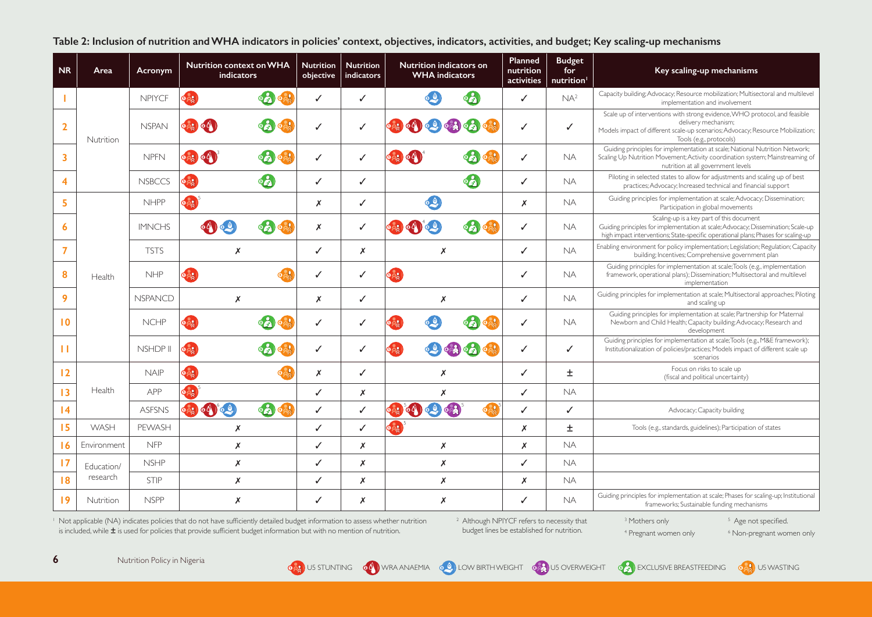**Table 2: Inclusion of nutrition and WHA indicators in policies' context, objectives, indicators, activities, and budget; Key scaling-up mechanisms**

| <b>NR</b>          | Area        | Acronym        | <b>Nutrition context on WHA</b><br><b>indicators</b>           | <b>Nutrition</b><br>objective | <b>Nutrition</b><br>indicators | Nutrition indicators on<br><b>WHA</b> indicators                                          | Planned<br>nutrition<br>activities | <b>Budget</b><br>for<br>nutrition <sup>1</sup> | Key scaling-up mechanisms                                                                                                                                                                                            |
|--------------------|-------------|----------------|----------------------------------------------------------------|-------------------------------|--------------------------------|-------------------------------------------------------------------------------------------|------------------------------------|------------------------------------------------|----------------------------------------------------------------------------------------------------------------------------------------------------------------------------------------------------------------------|
|                    |             | <b>NPIYCF</b>  | 62<br>$\Phi_{AB}$                                              | ✓                             | ✓                              | $\circ$                                                                                   | ✓                                  | NA <sup>2</sup>                                | Capacity building; Advocacy; Resource mobilization; Multisectoral and multilevel<br>implementation and involvement                                                                                                   |
| $\overline{2}$     | Nutrition   | <b>NSPAN</b>   | $\mathbf{0} \geq 0$<br>GG.                                     | ✓                             | ✓                              | O(V)<br>$\bullet$ $\bullet$<br>$\bullet$                                                  | ✓                                  | $\checkmark$                                   | Scale up of interventions with strong evidence, WHO protocol, and feasible<br>delivery mechanism;<br>Models impact of different scale-up scenarios; Advocacy; Resource Mobilization;<br>Tools (e.g., protocols)      |
| 3                  |             | <b>NPFN</b>    | $\circ$ 22 $\circ$ 4<br>65                                     | ✓                             | $\checkmark$                   | နေ<br>0 <sub>2</sub>                                                                      | ✓                                  | <b>NA</b>                                      | Guiding principles for implementation at scale; National Nutrition Network;<br>Scaling Up Nutrition Movement; Activity coordination system; Mainstreaming of<br>nutrition at all government levels                   |
| $\overline{\bf 4}$ |             | <b>NSBCCS</b>  | 62<br>OAR                                                      | ✓                             | ✓                              | 62                                                                                        | ✓                                  | <b>NA</b>                                      | Piloting in selected states to allow for adjustments and scaling up of best<br>practices; Advocacy; Increased technical and financial support                                                                        |
| 5                  |             | <b>NHPP</b>    | OAS                                                            | Х                             | ✓                              | $\bullet$ $\bullet$                                                                       | X                                  | <b>NA</b>                                      | Guiding principles for implementation at scale; Advocacy; Dissemination;<br>Participation in global movements                                                                                                        |
| 6                  |             | <b>IMNCHS</b>  | $\bullet$                                                      | X                             | $\checkmark$                   | $\epsilon$ 2<br>5 <sub>8</sub><br>60                                                      | $\checkmark$                       | <b>NA</b>                                      | Scaling-up is a key part of this document<br>Guiding principles for implementation at scale; Advocacy; Dissemination; Scale-up<br>high impact interventions; State-specific operational plans; Phases for scaling-up |
| $\overline{7}$     |             | <b>TSTS</b>    | X                                                              | ✓                             | $\boldsymbol{x}$               | X                                                                                         | ✓                                  | <b>NA</b>                                      | Enabling environment for policy implementation; Legislation; Regulation; Capacity<br>building; Incentives; Comprehensive government plan                                                                             |
| 8                  | Health      | <b>NHP</b>     | $\Phi_{\alpha\beta}^{(2)}$                                     | ✓                             | ✓                              | $\Phi_{AA}$                                                                               | ✓                                  | <b>NA</b>                                      | Guiding principles for implementation at scale; Tools (e.g., implementation<br>framework, operational plans); Dissemination; Multisectoral and multilevel<br>implementation                                          |
| 9                  |             | <b>NSPANCD</b> | X                                                              | X                             | ✓                              | X                                                                                         | ✓                                  | NA.                                            | Guiding principles for implementation at scale; Multisectoral approaches; Piloting<br>and scaling up                                                                                                                 |
| $\overline{10}$    |             | <b>NCHP</b>    | OAR<br>فكما                                                    | ✓                             | ✓                              | $\mathbf{a}$                                                                              | ✓                                  | <b>NA</b>                                      | Guiding principles for implementation at scale; Partnership for Maternal<br>Newborn and Child Health; Capacity building; Advocacy; Research and<br>development                                                       |
| п                  |             | NSHDP II       | $\circ$ 22<br>$\Theta$                                         | ✓                             | ✓                              | $\mathbf{p}$ $\mathbf{A}$<br>$\circ$ $\circ$ $\circ$                                      | ✓                                  | $\checkmark$                                   | Guiding principles for implementation at scale; Tools (e.g., M&E framework);<br>Institutionalization of policies/practices; Models impact of different scale up<br>scenarios                                         |
| 12                 |             | <b>NAIP</b>    | $\circ \hat{A}$                                                | Х                             | $\checkmark$                   | X                                                                                         | ✓                                  | $\pm$                                          | Focus on risks to scale up<br>(fiscal and political uncertainty)                                                                                                                                                     |
| 13                 | Health      | APP            | $o_{A_A}$                                                      | ✓                             | $\boldsymbol{x}$               | X                                                                                         | ✓                                  | <b>NA</b>                                      |                                                                                                                                                                                                                      |
| 4                  |             | <b>ASFSNS</b>  | ● ○ ● ● ☆<br>$o_{\lambda_{\alpha}}$ $o_{\lambda}$ $o_{\alpha}$ | ✓                             | $\checkmark$                   | $\left( \begin{array}{c} \circ & \circ \\ \circ & \circ \end{array} \right)$<br>$\circ$ 2 | ✓                                  | $\checkmark$                                   | Advocacy; Capacity building                                                                                                                                                                                          |
| 15                 | WASH        | PEWASH         | X                                                              | ✓                             | ✓                              | $\frac{1}{2}$                                                                             | x                                  | $\pm$                                          | Tools (e.g., standards, guidelines); Participation of states                                                                                                                                                         |
| 16                 | Environment | <b>NFP</b>     | Х                                                              | ✓                             | $\boldsymbol{x}$               | Х                                                                                         | Х                                  | <b>NA</b>                                      |                                                                                                                                                                                                                      |
| 17                 | Education/  | <b>NSHP</b>    | X                                                              | ✓                             | $\boldsymbol{x}$               | X                                                                                         | ✓                                  | <b>NA</b>                                      |                                                                                                                                                                                                                      |
| 18                 | research    | STIP           | Х                                                              | ✓                             | X                              | X                                                                                         | Х                                  | <b>NA</b>                                      |                                                                                                                                                                                                                      |
| 19                 | Nutrition   | <b>NSPP</b>    | X                                                              | ✓                             | X                              | X                                                                                         | ✓                                  | <b>NA</b>                                      | Guiding principles for implementation at scale; Phases for scaling-up; Institutional<br>frameworks; Sustainable funding mechanisms                                                                                   |

<sup>1</sup> Not applicable (NA) indicates policies that do not have sufficiently detailed budget information to assess whether nutrition is included, while  $\pm$  is used for policies that provide sufficient budget information but with no mention of nutrition.

<sup>2</sup> Although NPIYCF refers to necessity that budget lines be established for nutrition.

<sup>3</sup> Mothers only 4 Pregnant women only <sup>5</sup> Age not specified. 6 Non-pregnant women only







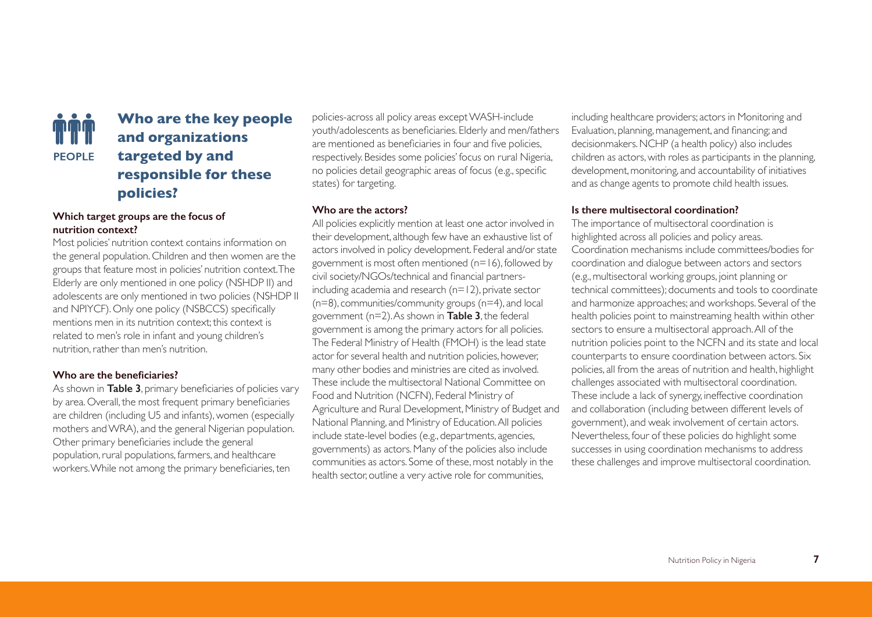

## **Who are the key people and organizations targeted by and responsible for these policies?**

## **Which target groups are the focus of nutrition context?**

Most policies' nutrition context contains information on the general population. Children and then women are the groups that feature most in policies' nutrition context. The Elderly are only mentioned in one policy (NSHDP II) and adolescents are only mentioned in two policies (NSHDP II and NPIYCF). Only one policy (NSBCCS) specifically mentions men in its nutrition context; this context is related to men's role in infant and young children's nutrition, rather than men's nutrition.

### **Who are the beneficiaries?**

As shown in **Table 3**, primary beneficiaries of policies vary by area. Overall, the most frequent primary beneficiaries are children (including U5 and infants), women (especially mothers and WRA), and the general Nigerian population. Other primary beneficiaries include the general population, rural populations, farmers, and healthcare workers. While not among the primary beneficiaries, ten

policies-across all policy areas except WASH-include youth/adolescents as beneficiaries. Elderly and men/fathers are mentioned as beneficiaries in four and five policies, respectively. Besides some policies' focus on rural Nigeria, no policies detail geographic areas of focus (e.g., specific states) for targeting.

#### **Who are the actors?**

All policies explicitly mention at least one actor involved in their development, although few have an exhaustive list of actors involved in policy development. Federal and/or state government is most often mentioned (n=16), followed by civil society/NGOs/technical and financial partnersincluding academia and research (n=12), private sector (n=8), communities/community groups (n=4), and local government (n=2). As shown in **Table 3**, the federal government is among the primary actors for all policies. The Federal Ministry of Health (FMOH) is the lead state actor for several health and nutrition policies, however, many other bodies and ministries are cited as involved. These include the multisectoral National Committee on Food and Nutrition (NCFN), Federal Ministry of Agriculture and Rural Development, Ministry of Budget and National Planning, and Ministry of Education. All policies include state-level bodies (e.g., departments, agencies, governments) as actors. Many of the policies also include communities as actors. Some of these, most notably in the health sector, outline a very active role for communities,

including healthcare providers; actors in Monitoring and Evaluation, planning, management, and financing; and decisionmakers. NCHP (a health policy) also includes children as actors, with roles as participants in the planning, development, monitoring, and accountability of initiatives and as change agents to promote child health issues.

#### **Is there multisectoral coordination?**

The importance of multisectoral coordination is highlighted across all policies and policy areas. Coordination mechanisms include committees/bodies for coordination and dialogue between actors and sectors (e.g., multisectoral working groups, joint planning or technical committees); documents and tools to coordinate and harmonize approaches; and workshops. Several of the health policies point to mainstreaming health within other sectors to ensure a multisectoral approach. All of the nutrition policies point to the NCFN and its state and local counterparts to ensure coordination between actors. Six policies, all from the areas of nutrition and health, highlight challenges associated with multisectoral coordination. These include a lack of synergy, ineffective coordination and collaboration (including between different levels of government), and weak involvement of certain actors. Nevertheless, four of these policies do highlight some successes in using coordination mechanisms to address these challenges and improve multisectoral coordination.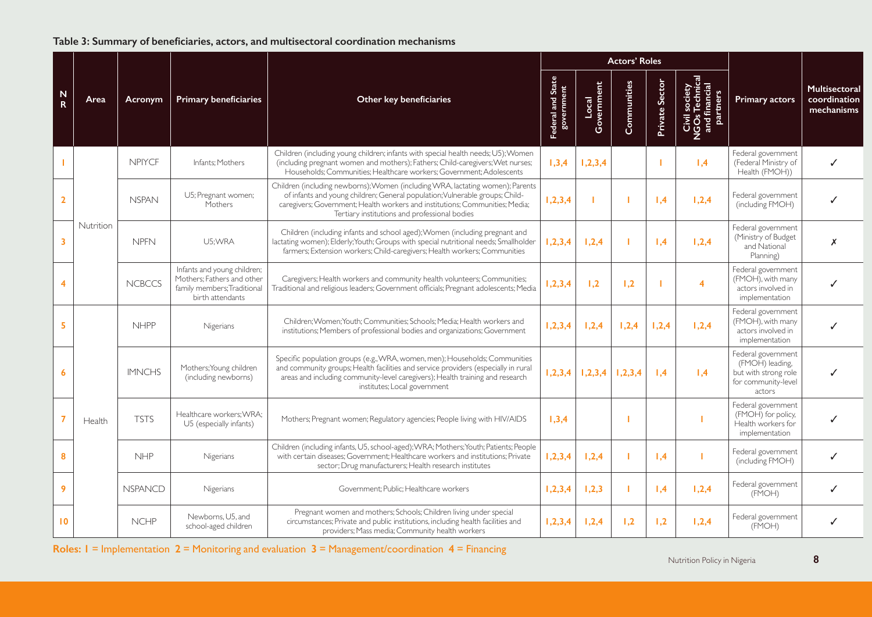## **Table 3: Summary of beneficiaries, actors, and multisectoral coordination mechanisms**

|                         | Area      | Acronym        | <b>Primary beneficiaries</b>                                                                                 |                                                                                                                                                                                                                                                                                                 |                                 |                     | <b>Actors' Roles</b> |                |                                                              |                                                                                                |                                             |
|-------------------------|-----------|----------------|--------------------------------------------------------------------------------------------------------------|-------------------------------------------------------------------------------------------------------------------------------------------------------------------------------------------------------------------------------------------------------------------------------------------------|---------------------------------|---------------------|----------------------|----------------|--------------------------------------------------------------|------------------------------------------------------------------------------------------------|---------------------------------------------|
| $\frac{N}{R}$           |           |                |                                                                                                              | Other key beneficiaries                                                                                                                                                                                                                                                                         | Federal and State<br>government | Government<br>Local | Communities          | Private Sector | Civil society<br>NGOs Technical<br>and financial<br>partners | <b>Primary actors</b>                                                                          | Multisectoral<br>coordination<br>mechanisms |
|                         |           | <b>NPIYCE</b>  | Infants: Mothers                                                                                             | Children (including young children; infants with special health needs; U5); Women<br>(including pregnant women and mothers); Fathers; Child-caregivers; Wet nurses;<br>Households; Communities; Healthcare workers; Government; Adolescents                                                     | 1,3,4                           | 1, 2, 3, 4          |                      |                | 1,4                                                          | Federal government<br>(Federal Ministry of<br>Health (FMOH))                                   |                                             |
| $\mathbf{2}$            | Nutrition | <b>NSPAN</b>   | U5; Pregnant women;<br>Mothers                                                                               | Children (including newborns); Women (including WRA, lactating women); Parents<br>of infants and young children; General population; Vulnerable groups; Child-<br>caregivers; Government; Health workers and institutions; Communities; Media;<br>Tertiary institutions and professional bodies | 1, 2, 3, 4                      |                     |                      | 1,4            | 1,2,4                                                        | Federal government<br>(including FMOH)                                                         |                                             |
| $\overline{\mathbf{3}}$ |           | <b>NPFN</b>    | U5:WRA                                                                                                       | Children (including infants and school aged); Women (including pregnant and<br>lactating women); Elderly; Youth; Groups with special nutritional needs; Smallholder<br>farmers; Extension workers; Child-caregivers; Health workers; Communities                                                | 1, 2, 3, 4                      | 1,2,4               |                      | 1,4            | 1,2,4                                                        | Federal government<br>(Ministry of Budget<br>and National<br>Planning)                         | X                                           |
| 4                       |           | <b>NCBCCS</b>  | Infants and young children;<br>Mothers; Fathers and other<br>family members; Traditional<br>birth attendants | Caregivers; Health workers and community health volunteers; Communities;<br>Traditional and religious leaders; Government officials; Pregnant adolescents; Media                                                                                                                                | 1, 2, 3, 4                      | 1,2                 | 1,2                  |                | 4                                                            | Federal government<br>(FMOH), with many<br>actors involved in<br>implementation                |                                             |
| 5                       |           | <b>NHPP</b>    | Nigerians                                                                                                    | Children; Women; Youth; Communities; Schools; Media; Health workers and<br>institutions; Members of professional bodies and organizations; Government                                                                                                                                           | 1, 2, 3, 4                      | 1,2,4               | 1,2,4                | 1,2,4          | 1,2,4                                                        | Federal government<br>(FMOH), with many<br>actors involved in<br>implementation                |                                             |
| 6                       | Health    | <b>IMNCHS</b>  | Mothers; Young children<br>(including newborns)                                                              | Specific population groups (e.g., WRA, women, men); Households; Communities<br>and community groups; Health facilities and service providers (especially in rural<br>areas and including community-level caregivers); Health training and research<br>institutes; Local government              | 1, 2, 3, 4                      | 1,2,3,4             | 1, 2, 3, 4           | 1,4            | 1,4                                                          | Federal government<br>(FMOH) leading,<br>but with strong role<br>for community-level<br>actors |                                             |
|                         |           | <b>TSTS</b>    | Healthcare workers; WRA;<br>U5 (especially infants)                                                          | Mothers; Pregnant women; Regulatory agencies; People living with HIV/AIDS                                                                                                                                                                                                                       | 1,3,4                           |                     |                      |                |                                                              | Federal government<br>(FMOH) for policy,<br>Health workers for<br>implementation               | ✓                                           |
| 8                       |           | <b>NHP</b>     | Nigerians                                                                                                    | Children (including infants, U5, school-aged); WRA; Mothers; Youth; Patients; People<br>with certain diseases; Government; Healthcare workers and institutions; Private<br>sector; Drug manufacturers; Health research institutes                                                               | 1, 2, 3, 4                      | 1,2,4               |                      | 1,4            |                                                              | Federal government<br>(including FMOH)                                                         |                                             |
| 9                       |           | <b>NSPANCD</b> | Nigerians                                                                                                    | Government; Public; Healthcare workers                                                                                                                                                                                                                                                          | 1, 2, 3, 4                      | 1,2,3               | п                    | 1,4            | 1,2,4                                                        | Federal government<br>(FMOH)                                                                   |                                             |
| 10                      |           | <b>NCHP</b>    | Newborns, U5, and<br>school-aged children                                                                    | Pregnant women and mothers; Schools; Children living under special<br>circumstances; Private and public institutions, including health facilities and<br>providers; Mass media; Community health workers                                                                                        | 1, 2, 3, 4                      | 1,2,4               | 1,2                  | 1,2            | 1,2,4                                                        | Federal government<br>(FMOH)                                                                   |                                             |

**8** Nutrition Policy in Nigeria **Roles: 1** = Implementation **2** = Monitoring and evaluation **3** = Management/coordination **4** = Financing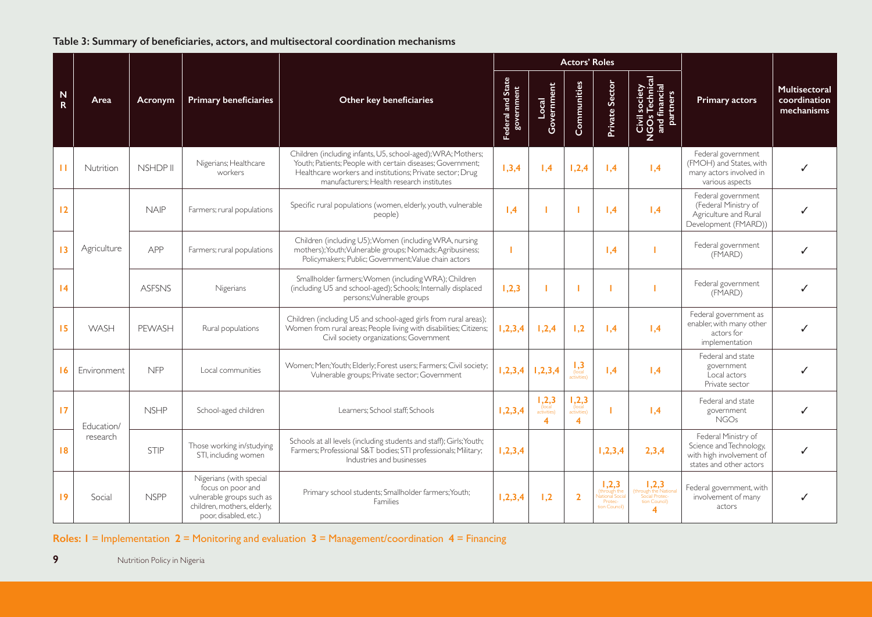## **Table 3: Summary of beneficiaries, actors, and multisectoral coordination mechanisms**

|               |               |             |                                                                                                                                   |                                                                                                                                                                                                                                      |                                 |                                                           | <b>Actors' Roles</b>                              |                                                                    |                                                                |                                                                                                       |                                             |
|---------------|---------------|-------------|-----------------------------------------------------------------------------------------------------------------------------------|--------------------------------------------------------------------------------------------------------------------------------------------------------------------------------------------------------------------------------------|---------------------------------|-----------------------------------------------------------|---------------------------------------------------|--------------------------------------------------------------------|----------------------------------------------------------------|-------------------------------------------------------------------------------------------------------|---------------------------------------------|
| $\frac{N}{R}$ | Area          | Acronym     | <b>Primary beneficiaries</b>                                                                                                      | Other key beneficiaries                                                                                                                                                                                                              | Federal and State<br>government | Local<br>Government                                       | Communities                                       | Private Sector                                                     | Civil society<br>NGOs Technical<br>and financial<br>partners   | <b>Primary actors</b>                                                                                 | Multisectoral<br>coordination<br>mechanisms |
| $\mathbf{H}$  | Nutrition     | NSHDP II    | Nigerians; Healthcare<br>workers                                                                                                  | Children (including infants, U5, school-aged); WRA; Mothers;<br>Youth; Patients; People with certain diseases; Government;<br>Healthcare workers and institutions; Private sector; Drug<br>manufacturers: Health research institutes | 1,3,4                           | 1,4                                                       | 1,2,4                                             | 1,4                                                                | 1.4                                                            | Federal government<br>(FMOH) and States, with<br>many actors involved in<br>various aspects           |                                             |
| 12            |               | <b>NAIP</b> | Farmers; rural populations                                                                                                        | Specific rural populations (women, elderly, youth, vulnerable<br>people)                                                                                                                                                             | 1,4                             |                                                           |                                                   | 1,4                                                                | 1.4                                                            | Federal government<br>(Federal Ministry of<br>Agriculture and Rural<br>Development (FMARD))           |                                             |
| 13            | Agriculture   | APP         | Farmers; rural populations                                                                                                        | Children (including U5); Women (including WRA, nursing<br>mothers); Youth; Vulnerable groups; Nomads; Agribusiness;<br>Policymakers; Public; Government; Value chain actors                                                          |                                 |                                                           |                                                   | 1,4                                                                |                                                                | Federal government<br>(FMARD)                                                                         |                                             |
| 4             | <b>ASFSNS</b> |             | Nigerians                                                                                                                         | Smallholder farmers; Women (including WRA); Children<br>(including U5 and school-aged); Schools; Internally displaced<br>persons; Vulnerable groups                                                                                  | 1,2,3                           |                                                           |                                                   |                                                                    |                                                                | Federal government<br>(FMARD)                                                                         |                                             |
| 15            | WASH          | PEWASH      | Rural populations                                                                                                                 | Children (including U5 and school-aged girls from rural areas);<br>1, 2, 3, 4<br>Women from rural areas; People living with disabilities; Citizens;<br>Civil society organizations; Government                                       |                                 | 1,2,4                                                     | 1,2                                               | 1,4                                                                | 1,4                                                            | Federal government as<br>enabler, with many other<br>actors for<br>implementation                     |                                             |
| 16            | Environment   | <b>NFP</b>  | Local communities                                                                                                                 | Women; Men; Youth; Elderly; Forest users; Farmers; Civil society;<br>1, 2, 3, 4<br>Vulnerable groups; Private sector; Government                                                                                                     |                                 | 1, 2, 3, 4                                                | $\frac{1}{\sqrt{1}}$<br>activities)               | 1.4                                                                | $\mathsf{I}$ .4                                                | Federal and state<br>government<br>Local actors<br>Private sector                                     |                                             |
| 17            | Education/    | <b>NSHP</b> | School-aged children                                                                                                              | Learners; School staff; Schools                                                                                                                                                                                                      | 1,2,3,4                         | 1,2,3<br>(local<br>activities)<br>$\overline{\mathbf{4}}$ | 1, 2, 3<br>activities)<br>$\overline{\mathbf{4}}$ |                                                                    | 1,4                                                            | Federal and state<br>government<br><b>NGOs</b>                                                        |                                             |
| 8             | research      | <b>STIP</b> | Those working in/studying<br>STI, including women                                                                                 | Schools at all levels (including students and staff); Girls; Youth;<br>Farmers; Professional S&T bodies; STI professionals; Military;<br>Industries and businesses                                                                   | 1, 2, 3, 4                      |                                                           |                                                   | 1, 2, 3, 4                                                         | 2,3,4                                                          | Federal Ministry of<br>Science and Technology,<br>with high involvement of<br>states and other actors |                                             |
| 19            | Social        | <b>NSPP</b> | Nigerians (with special<br>focus on poor and<br>vulnerable groups such as<br>children, mothers, elderly,<br>poor. disabled. etc.) | Primary school students; Smallholder farmers; Youth;<br>Families                                                                                                                                                                     | 1,2,3,4                         | 1,2                                                       | $\overline{2}$                                    | 1,2,3<br>(through the<br>Jational Soci<br>Protec-<br>tion Council) | 1,2,3<br>ugh the Natio<br>Social Protec-<br>tion Council)<br>4 | Federal government, with<br>involvement of many<br>actors                                             |                                             |

**Roles: 1** = Implementation **2** = Monitoring and evaluation **3** = Management/coordination **4** = Financing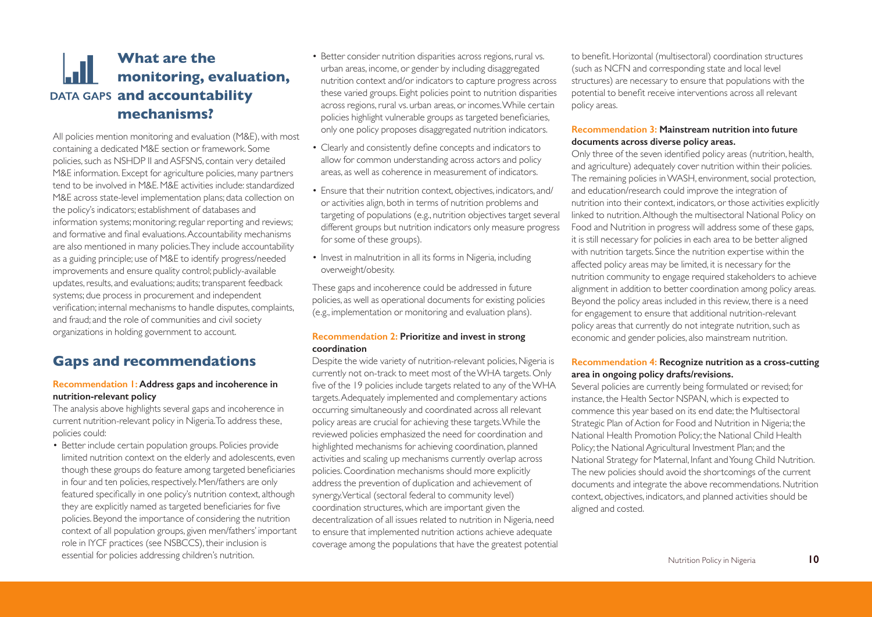## **What are the monitoring, evaluation, DATA GAPS and accountability mechanisms?**

All policies mention monitoring and evaluation (M&E), with most containing a dedicated M&E section or framework. Some policies, such as NSHDP II and ASFSNS, contain very detailed M&E information. Except for agriculture policies, many partners tend to be involved in M&E. M&E activities include: standardized M&E across state-level implementation plans; data collection on the policy's indicators; establishment of databases and information systems; monitoring; regular reporting and reviews; and formative and final evaluations. Accountability mechanisms are also mentioned in many policies. They include accountability as a guiding principle; use of M&E to identify progress/needed improvements and ensure quality control; publicly-available updates, results, and evaluations; audits; transparent feedback systems; due process in procurement and independent verification; internal mechanisms to handle disputes, complaints, and fraud; and the role of communities and civil society organizations in holding government to account.

## **Gaps and recommendations**

#### **Recommendation 1: Address gaps and incoherence in nutrition-relevant policy**

The analysis above highlights several gaps and incoherence in current nutrition-relevant policy in Nigeria. To address these, policies could:

• Better include certain population groups. Policies provide limited nutrition context on the elderly and adolescents, even though these groups do feature among targeted beneficiaries in four and ten policies, respectively. Men/fathers are only featured specifically in one policy's nutrition context, although they are explicitly named as targeted beneficiaries for five policies. Beyond the importance of considering the nutrition context of all population groups, given men/fathers' important role in IYCF practices (see NSBCCS), their inclusion is essential for policies addressing children's nutrition.

- Better consider nutrition disparities across regions, rural vs. urban areas, income, or gender by including disaggregated nutrition context and/or indicators to capture progress across these varied groups. Eight policies point to nutrition disparities across regions, rural vs. urban areas, or incomes. While certain policies highlight vulnerable groups as targeted beneficiaries, only one policy proposes disaggregated nutrition indicators.
- Clearly and consistently define concepts and indicators to allow for common understanding across actors and policy areas, as well as coherence in measurement of indicators.
- Ensure that their nutrition context, objectives, indicators, and/ or activities align, both in terms of nutrition problems and targeting of populations (e.g., nutrition objectives target several different groups but nutrition indicators only measure progress for some of these groups).
- Invest in malnutrition in all its forms in Nigeria, including overweight/obesity.

These gaps and incoherence could be addressed in future policies, as well as operational documents for existing policies (e.g., implementation or monitoring and evaluation plans).

#### **Recommendation 2: Prioritize and invest in strong coordination**

Despite the wide variety of nutrition-relevant policies, Nigeria is currently not on-track to meet most of the WHA targets. Only five of the 19 policies include targets related to any of the WHA targets. Adequately implemented and complementary actions occurring simultaneously and coordinated across all relevant policy areas are crucial for achieving these targets. While the reviewed policies emphasized the need for coordination and highlighted mechanisms for achieving coordination, planned activities and scaling up mechanisms currently overlap across policies. Coordination mechanisms should more explicitly address the prevention of duplication and achievement of synergy. Vertical (sectoral federal to community level) coordination structures, which are important given the decentralization of all issues related to nutrition in Nigeria, need to ensure that implemented nutrition actions achieve adequate coverage among the populations that have the greatest potential to benefit. Horizontal (multisectoral) coordination structures (such as NCFN and corresponding state and local level structures) are necessary to ensure that populations with the potential to benefit receive interventions across all relevant policy areas.

#### **Recommendation 3: Mainstream nutrition into future documents across diverse policy areas.**

Only three of the seven identified policy areas (nutrition, health, and agriculture) adequately cover nutrition within their policies. The remaining policies in WASH, environment, social protection, and education/research could improve the integration of nutrition into their context, indicators, or those activities explicitly linked to nutrition. Although the multisectoral National Policy on Food and Nutrition in progress will address some of these gaps, it is still necessary for policies in each area to be better aligned with nutrition targets. Since the nutrition expertise within the affected policy areas may be limited, it is necessary for the nutrition community to engage required stakeholders to achieve alignment in addition to better coordination among policy areas. Beyond the policy areas included in this review, there is a need for engagement to ensure that additional nutrition-relevant policy areas that currently do not integrate nutrition, such as economic and gender policies, also mainstream nutrition.

### **Recommendation 4: Recognize nutrition as a cross-cutting area in ongoing policy drafts/revisions.**

Several policies are currently being formulated or revised; for instance, the Health Sector NSPAN, which is expected to commence this year based on its end date; the Multisectoral Strategic Plan of Action for Food and Nutrition in Nigeria; the National Health Promotion Policy; the National Child Health Policy; the National Agricultural Investment Plan; and the National Strategy for Maternal, Infant and Young Child Nutrition. The new policies should avoid the shortcomings of the current documents and integrate the above recommendations. Nutrition context, objectives, indicators, and planned activities should be aligned and costed.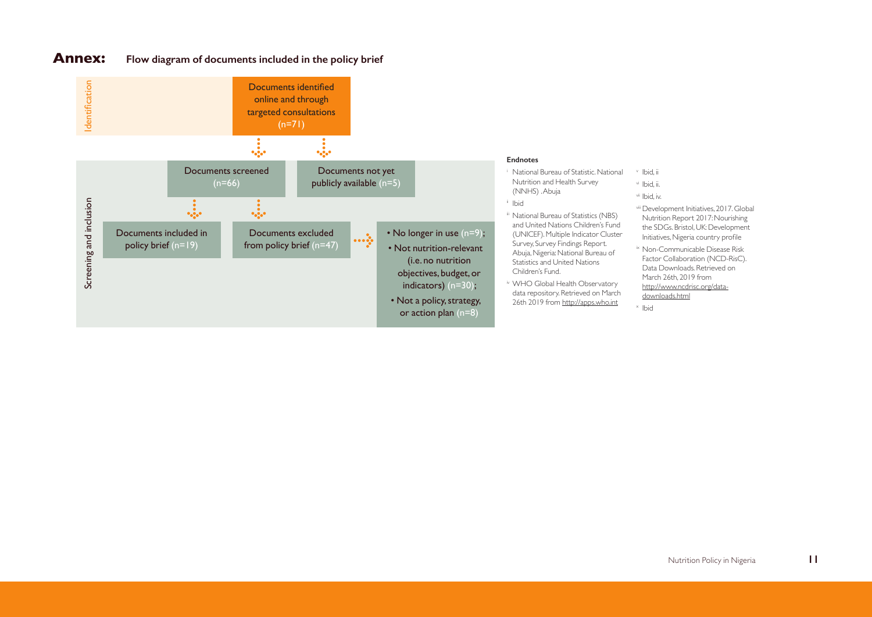## **Annex: Flow diagram of documents included in the policy brief**